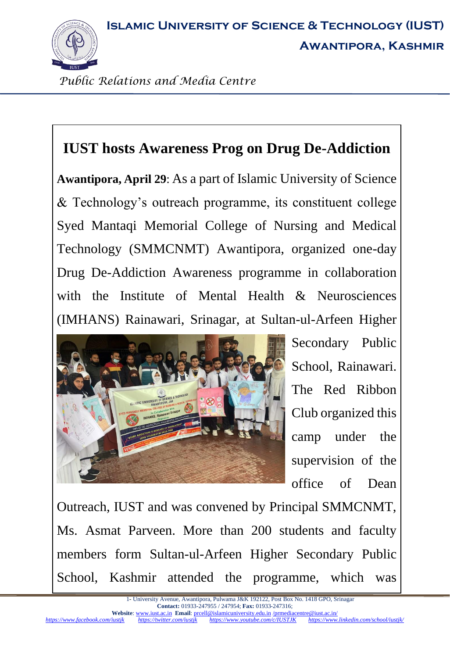**Islamic University of Science & Technology (IUST)**



**Awantipora, Kashmir**

*Public Relations and Media Centre*

## **IUST hosts Awareness Prog on Drug De-Addiction**

**Awantipora, April 29**: As a part of Islamic University of Science & Technology's outreach programme, its constituent college Syed Mantaqi Memorial College of Nursing and Medical Technology (SMMCNMT) Awantipora, organized one-day Drug De-Addiction Awareness programme in collaboration with the Institute of Mental Health & Neurosciences (IMHANS) Rainawari, Srinagar, at Sultan-ul-Arfeen Higher



Secondary Public School, Rainawari. The Red Ribbon Club organized this camp under the supervision of the office of Dean

Outreach, IUST and was convened by Principal SMMCNMT, Ms. Asmat Parveen. More than 200 students and faculty members form Sultan-ul-Arfeen Higher Secondary Public School, Kashmir attended the programme, which was